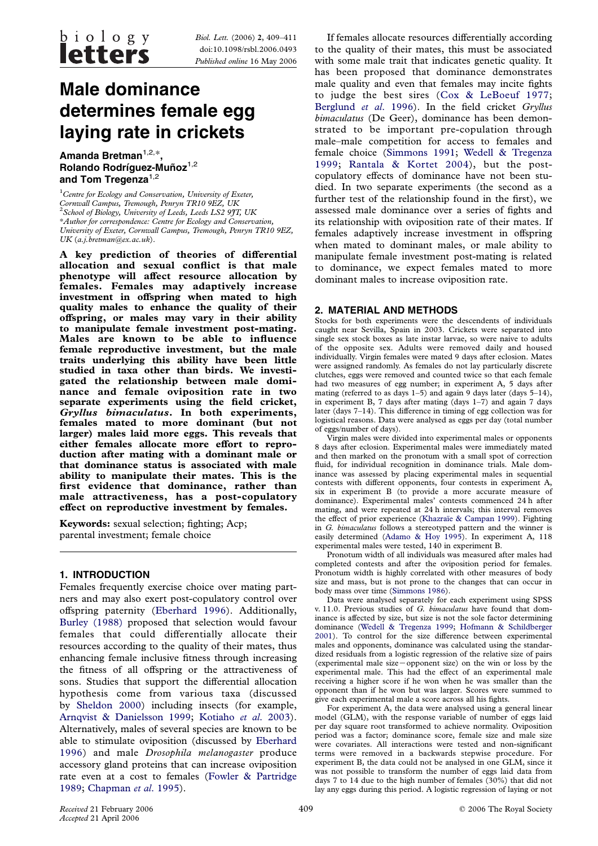Biol. Lett. (2006) 2, 409–411 doi:10.1098/rsbl.2006.0493 Published online 16 May 2006

# Male dominance determines female egg laying rate in crickets

Amanda Bretman<sup> $1,2,*$ </sup>. Rolando Rodríguez-Muñoz<sup>1,2</sup> and Tom Tregenza<sup>1,2</sup>

<sup>1</sup> Centre for Ecology and Conservation, University of Exeter, Cornwall Campus, Tremough, Penryn TR10 9EZ, UK <sup>2</sup> School of Biology, University of Leeds, Leeds LS2 9JT, UK \*Author for correspondence: Centre for Ecology and Conservation, University of Exeter, Cornwall Campus, Tremough, Penryn TR10 9EZ,  $UK (a, i. bretman@ex. ac.uk).$ 

A key prediction of theories of differential allocation and sexual conflict is that male phenotype will affect resource allocation by females. Females may adaptively increase investment in offspring when mated to high quality males to enhance the quality of their offspring, or males may vary in their ability to manipulate female investment post-mating. Males are known to be able to influence female reproductive investment, but the male traits underlying this ability have been little studied in taxa other than birds. We investigated the relationship between male dominance and female oviposition rate in two separate experiments using the field cricket, Gryllus bimaculatus. In both experiments, females mated to more dominant (but not larger) males laid more eggs. This reveals that either females allocate more effort to reproduction after mating with a dominant male or that dominance status is associated with male ability to manipulate their mates. This is the first evidence that dominance, rather than male attractiveness, has a post-copulatory effect on reproductive investment by females.

Keywords: sexual selection; fighting; Acp; parental investment; female choice

## 1. INTRODUCTION

Females frequently exercise choice over mating partners and may also exert post-copulatory control over offspring paternity ([Eberhard 1996\)](#page-2-0). Additionally, [Burley \(1988\)](#page-2-0) proposed that selection would favour females that could differentially allocate their resources according to the quality of their mates, thus enhancing female inclusive fitness through increasing the fitness of all offspring or the attractiveness of sons. Studies that support the differential allocation hypothesis come from various taxa (discussed by [Sheldon 2000\)](#page-2-0) including insects (for example, [Arnqvist & Danielsson 1999;](#page-2-0) [Kotiaho](#page-2-0) et al. 2003). Alternatively, males of several species are known to be able to stimulate oviposition (discussed by [Eberhard](#page-2-0) [1996](#page-2-0)) and male Drosophila melanogaster produce accessory gland proteins that can increase oviposition rate even at a cost to females [\(Fowler & Partridge](#page-2-0) [1989](#page-2-0); [Chapman](#page-2-0) et al. 1995).

If females allocate resources differentially according to the quality of their mates, this must be associated with some male trait that indicates genetic quality. It has been proposed that dominance demonstrates male quality and even that females may incite fights to judge the best sires ([Cox & LeBoeuf 1977;](#page-2-0) [Berglund](#page-2-0) et al. 1996). In the field cricket Gryllus bimaculatus (De Geer), dominance has been demonstrated to be important pre-copulation through male–male competition for access to females and female choice ([Simmons 1991](#page-2-0); [Wedell & Tregenza](#page-2-0) [1999;](#page-2-0) [Rantala & Kortet 2004\)](#page-2-0), but the postcopulatory effects of dominance have not been studied. In two separate experiments (the second as a further test of the relationship found in the first), we assessed male dominance over a series of fights and its relationship with oviposition rate of their mates. If females adaptively increase investment in offspring when mated to dominant males, or male ability to manipulate female investment post-mating is related to dominance, we expect females mated to more dominant males to increase oviposition rate.

## 2. MATERIAL AND METHODS

Stocks for both experiments were the descendents of individuals caught near Sevilla, Spain in 2003. Crickets were separated into single sex stock boxes as late instar larvae, so were naive to adults of the opposite sex. Adults were removed daily and housed individually. Virgin females were mated 9 days after eclosion. Mates were assigned randomly. As females do not lay particularly discrete clutches, eggs were removed and counted twice so that each female had two measures of egg number; in experiment A, 5 days after mating (referred to as days 1–5) and again 9 days later (days 5–14), in experiment B, 7 days after mating (days 1–7) and again 7 days later (days 7–14). This difference in timing of egg collection was for logistical reasons. Data were analysed as eggs per day (total number of eggs/number of days).

Virgin males were divided into experimental males or opponents 8 days after eclosion. Experimental males were immediately mated and then marked on the pronotum with a small spot of correction fluid, for individual recognition in dominance trials. Male dominance was assessed by placing experimental males in sequential contests with different opponents, four contests in experiment A, six in experiment B (to provide a more accurate measure of dominance). Experimental males' contests commenced 24 h after mating, and were repeated at 24 h intervals; this interval removes the effect of prior experience (Khazraïe & Campan 1999). Fighting in G. bimaculatus follows a stereotyped pattern and the winner is easily determined [\(Adamo & Hoy 1995\)](#page-2-0). In experiment A, 118 experimental males were tested, 140 in experiment B.

Pronotum width of all individuals was measured after males had completed contests and after the oviposition period for females. Pronotum width is highly correlated with other measures of body size and mass, but is not prone to the changes that can occur in body mass over time [\(Simmons 1986\)](#page-2-0).

Data were analysed separately for each experiment using SPSS v. 11.0. Previous studies of G. bimaculatus have found that dominance is affected by size, but size is not the sole factor determining dominance [\(Wedell & Tregenza 1999;](#page-2-0) [Hofmann & Schildberger](#page-2-0) [2001\)](#page-2-0). To control for the size difference between experimental males and opponents, dominance was calculated using the standardized residuals from a logistic regression of the relative size of pairs (experimental male size - opponent size) on the win or loss by the experimental male. This had the effect of an experimental male receiving a higher score if he won when he was smaller than the opponent than if he won but was larger. Scores were summed to give each experimental male a score across all his fights.

For experiment A, the data were analysed using a general linear model (GLM), with the response variable of number of eggs laid per day square root transformed to achieve normality. Oviposition period was a factor; dominance score, female size and male size were covariates. All interactions were tested and non-significant terms were removed in a backwards stepwise procedure. For experiment B, the data could not be analysed in one GLM, since it was not possible to transform the number of eggs laid data from days 7 to 14 due to the high number of females (30%) that did not lay any eggs during this period. A logistic regression of laying or not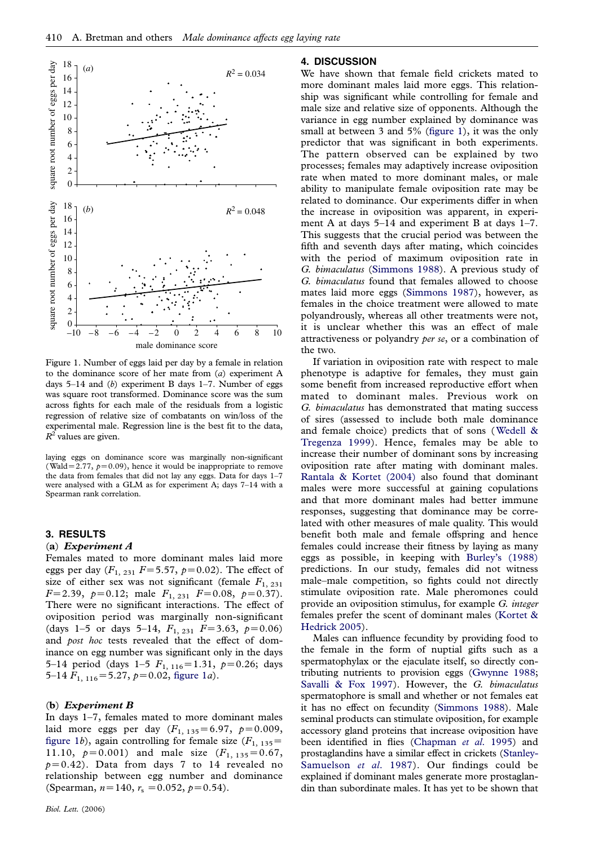

Figure 1. Number of eggs laid per day by a female in relation to the dominance score of her mate from  $(a)$  experiment A days  $5-14$  and (b) experiment B days  $1-7$ . Number of eggs was square root transformed. Dominance score was the sum across fights for each male of the residuals from a logistic regression of relative size of combatants on win/loss of the experimental male. Regression line is the best fit to the data,  $R^2$  values are given.

laying eggs on dominance score was marginally non-significant (Wald = 2.77,  $p=0.09$ ), hence it would be inappropriate to remove the data from females that did not lay any eggs. Data for days 1–7 were analysed with a GLM as for experiment A; days 7–14 with a Spearman rank correlation.

#### 3. RESULTS

## (a) Experiment A

Females mated to more dominant males laid more eggs per day  $(F_{1, 231} F = 5.57, p=0.02)$ . The effect of size of either sex was not significant (female  $F_{1, 231}$  $F=2.39$ ,  $p=0.12$ ; male  $F_{1, 231}$   $F=0.08$ ,  $p=0.37$ ). There were no significant interactions. The effect of oviposition period was marginally non-significant (days 1–5 or days 5–14,  $F_{1, 231}$   $F=3.63$ ,  $p=0.06$ ) and *post hoc* tests revealed that the effect of dominance on egg number was significant only in the days 5–14 period (days 1–5  $F_{1, 116}$ =1.31,  $p=0.26$ ; days 5–14  $F_{1, 116}$ =5.27,  $p$ =0.02, figure 1*a*).

#### (b) Experiment B

In days 1–7, females mated to more dominant males laid more eggs per day  $(F_{1, 135} = 6.97, p=0.009,$ figure 1b), again controlling for female size  $(F_{1, 135}$ = 11.10,  $p=0.001$ ) and male size  $(F_{1, 135}=0.67,$  $p=0.42$ ). Data from days 7 to 14 revealed no relationship between egg number and dominance (Spearman,  $n=140$ ,  $r_s = 0.052$ ,  $p=0.54$ ).

### 4. DISCUSSION

We have shown that female field crickets mated to more dominant males laid more eggs. This relationship was significant while controlling for female and male size and relative size of opponents. Although the variance in egg number explained by dominance was small at between 3 and 5% (figure 1), it was the only predictor that was significant in both experiments. The pattern observed can be explained by two processes; females may adaptively increase oviposition rate when mated to more dominant males, or male ability to manipulate female oviposition rate may be related to dominance. Our experiments differ in when the increase in oviposition was apparent, in experiment A at days 5–14 and experiment B at days 1–7. This suggests that the crucial period was between the fifth and seventh days after mating, which coincides with the period of maximum oviposition rate in G. bimaculatus [\(Simmons 1988](#page-2-0)). A previous study of G. bimaculatus found that females allowed to choose mates laid more eggs [\(Simmons 1987\)](#page-2-0), however, as females in the choice treatment were allowed to mate polyandrously, whereas all other treatments were not, it is unclear whether this was an effect of male attractiveness or polyandry per se, or a combination of the two.

If variation in oviposition rate with respect to male phenotype is adaptive for females, they must gain some benefit from increased reproductive effort when mated to dominant males. Previous work on G. bimaculatus has demonstrated that mating success of sires (assessed to include both male dominance and female choice) predicts that of sons ([Wedell &](#page-2-0) [Tregenza 1999](#page-2-0)). Hence, females may be able to increase their number of dominant sons by increasing oviposition rate after mating with dominant males. [Rantala & Kortet \(2004\)](#page-2-0) also found that dominant males were more successful at gaining copulations and that more dominant males had better immune responses, suggesting that dominance may be correlated with other measures of male quality. This would benefit both male and female offspring and hence females could increase their fitness by laying as many eggs as possible, in keeping with [Burley's \(1988\)](#page-2-0) predictions. In our study, females did not witness male–male competition, so fights could not directly stimulate oviposition rate. Male pheromones could provide an oviposition stimulus, for example G. integer females prefer the scent of dominant males ([Kortet &](#page-2-0) [Hedrick 2005\)](#page-2-0).

Males can influence fecundity by providing food to the female in the form of nuptial gifts such as a spermatophylax or the ejaculate itself, so directly contributing nutrients to provision eggs ([Gwynne 1988;](#page-2-0) [Savalli & Fox 1997](#page-2-0)). However, the G. bimaculatus spermatophore is small and whether or not females eat it has no effect on fecundity ([Simmons 1988](#page-2-0)). Male seminal products can stimulate oviposition, for example accessory gland proteins that increase oviposition have been identified in flies ([Chapman](#page-2-0) et al. 1995) and prostaglandins have a similar effect in crickets ([Stanley-](#page-2-0)[Samuelson](#page-2-0) et al. 1987). Our findings could be explained if dominant males generate more prostaglandin than subordinate males. It has yet to be shown that